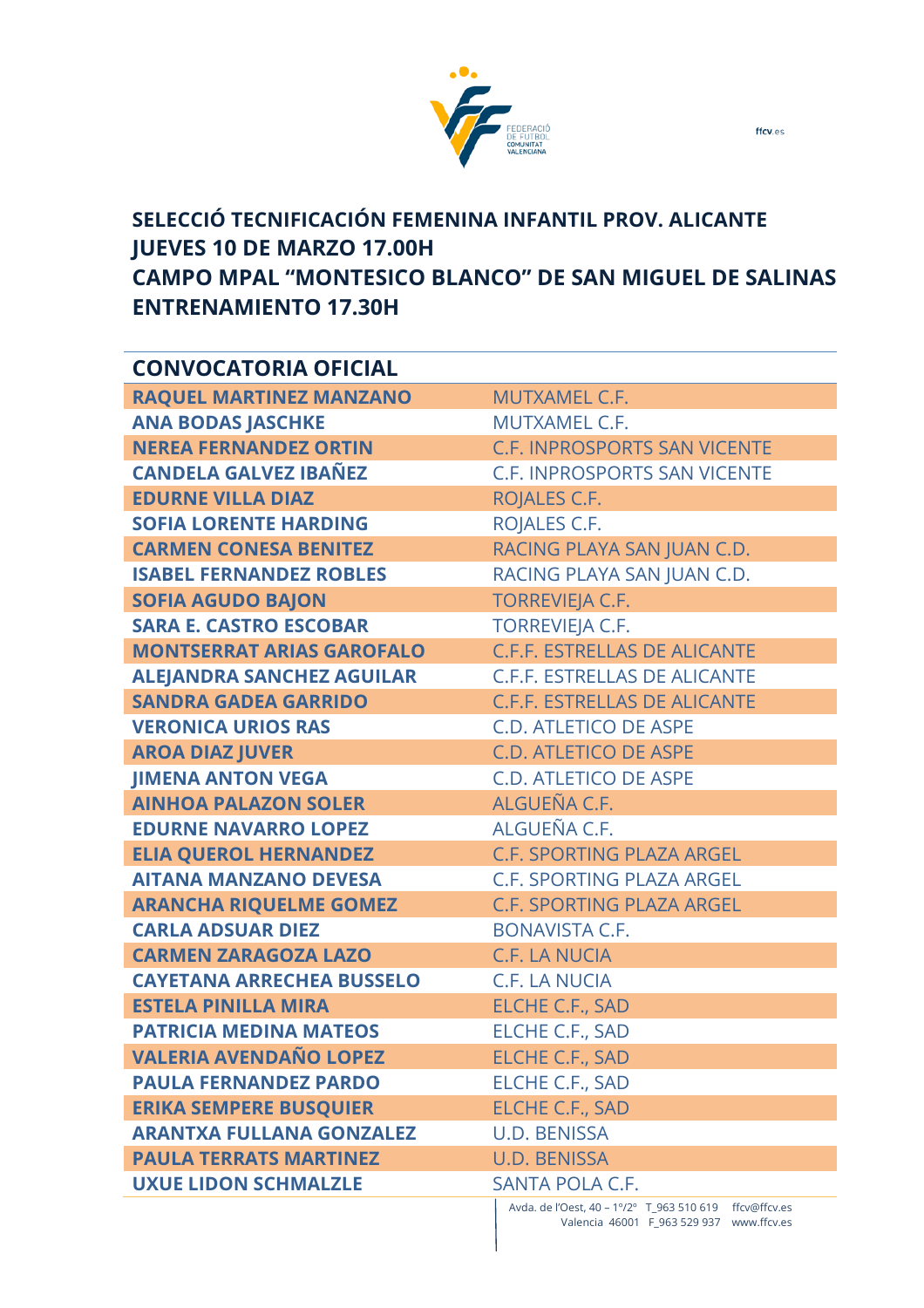

## **SELECCIÓ TECNIFICACIÓN FEMENINA INFANTIL PROV. ALICANTE JUEVES 10 DE MARZO 17.00H CAMPO MPAL "MONTESICO BLANCO" DE SAN MIGUEL DE SALINAS ENTRENAMIENTO 17.30H**

| <b>CONVOCATORIA OFICIAL</b>      |                                                        |
|----------------------------------|--------------------------------------------------------|
| <b>RAQUEL MARTINEZ MANZANO</b>   | <b>MUTXAMEL C.F.</b>                                   |
| <b>ANA BODAS JASCHKE</b>         | MUTXAMEL C.F.                                          |
| <b>NEREA FERNANDEZ ORTIN</b>     | <b>C.F. INPROSPORTS SAN VICENTE</b>                    |
| <b>CANDELA GALVEZ IBAÑEZ</b>     | <b>C.F. INPROSPORTS SAN VICENTE</b>                    |
| <b>EDURNE VILLA DIAZ</b>         | ROJALES C.F.                                           |
| <b>SOFIA LORENTE HARDING</b>     | ROJALES C.F.                                           |
| <b>CARMEN CONESA BENITEZ</b>     | RACING PLAYA SAN JUAN C.D.                             |
| <b>ISABEL FERNANDEZ ROBLES</b>   | RACING PLAYA SAN JUAN C.D.                             |
| <b>SOFIA AGUDO BAJON</b>         | <b>TORREVIEJA C.F.</b>                                 |
| <b>SARA E. CASTRO ESCOBAR</b>    | <b>TORREVIEJA C.F.</b>                                 |
| <b>MONTSERRAT ARIAS GAROFALO</b> | <b>C.F.F. ESTRELLAS DE ALICANTE</b>                    |
| <b>ALEJANDRA SANCHEZ AGUILAR</b> | <b>C.F.F. ESTRELLAS DE ALICANTE</b>                    |
| <b>SANDRA GADEA GARRIDO</b>      | <b>C.F.F. ESTRELLAS DE ALICANTE</b>                    |
| <b>VERONICA URIOS RAS</b>        | <b>C.D. ATLETICO DE ASPE</b>                           |
| <b>AROA DIAZ JUVER</b>           | <b>C.D. ATLETICO DE ASPE</b>                           |
| <b>JIMENA ANTON VEGA</b>         | <b>C.D. ATLETICO DE ASPE</b>                           |
| <b>AINHOA PALAZON SOLER</b>      | ALGUEÑA C.F.                                           |
| <b>EDURNE NAVARRO LOPEZ</b>      | ALGUEÑA C.F.                                           |
| <b>ELIA QUEROL HERNANDEZ</b>     | C.F. SPORTING PLAZA ARGEL                              |
| <b>AITANA MANZANO DEVESA</b>     | <b>C.F. SPORTING PLAZA ARGEL</b>                       |
| <b>ARANCHA RIQUELME GOMEZ</b>    | <b>C.F. SPORTING PLAZA ARGEL</b>                       |
| <b>CARLA ADSUAR DIEZ</b>         | <b>BONAVISTA C.F.</b>                                  |
| <b>CARMEN ZARAGOZA LAZO</b>      | <b>C.F. LA NUCIA</b>                                   |
| <b>CAYETANA ARRECHEA BUSSELO</b> | <b>C.F. LA NUCIA</b>                                   |
| <b>ESTELA PINILLA MIRA</b>       | <b>ELCHE C.F., SAD</b>                                 |
| <b>PATRICIA MEDINA MATEOS</b>    | ELCHE C.F., SAD                                        |
| <b>VALERIA AVENDAÑO LOPEZ</b>    | <b>ELCHE C.F., SAD</b>                                 |
| <b>PAULA FERNANDEZ PARDO</b>     | <b>ELCHE C.F., SAD</b>                                 |
| <b>ERIKA SEMPERE BUSQUIER</b>    | <b>ELCHE C.F., SAD</b>                                 |
| <b>ARANTXA FULLANA GONZALEZ</b>  | <b>U.D. BENISSA</b>                                    |
| <b>PAULA TERRATS MARTINEZ</b>    | <b>U.D. BENISSA</b>                                    |
| <b>UXUE LIDON SCHMALZLE</b>      | <b>SANTA POLA C.F.</b>                                 |
|                                  | Avda. de l'Oest, 40 - 1º/2º T_963 510 619 ffcv@ffcv.es |

Valencia 46001 F\_963 529 937 www.ffcv.es